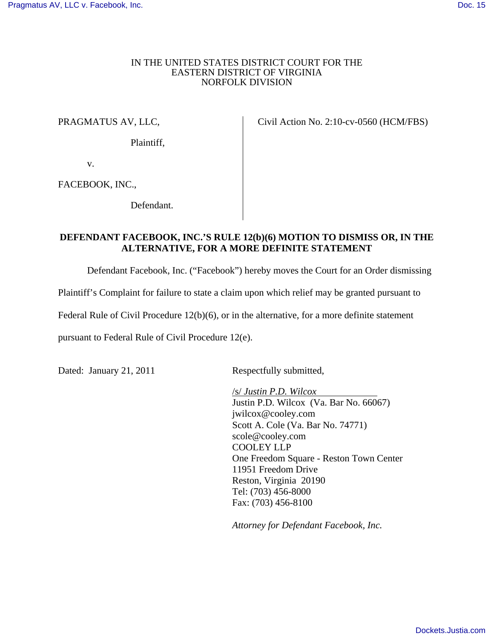## IN THE UNITED STATES DISTRICT COURT FOR THE EASTERN DISTRICT OF VIRGINIA NORFOLK DIVISION

## PRAGMATUS AV, LLC,

Plaintiff,

Civil Action No. 2:10-cv-0560 (HCM/FBS)

v.

FACEBOOK, INC.,

Defendant.

## **DEFENDANT FACEBOOK, INC.'S RULE 12(b)(6) MOTION TO DISMISS OR, IN THE ALTERNATIVE, FOR A MORE DEFINITE STATEMENT**

Defendant Facebook, Inc. ("Facebook") hereby moves the Court for an Order dismissing

Plaintiff's Complaint for failure to state a claim upon which relief may be granted pursuant to

Federal Rule of Civil Procedure 12(b)(6), or in the alternative, for a more definite statement

pursuant to Federal Rule of Civil Procedure 12(e).

Dated: January 21, 2011 Respectfully submitted,

/s/ *Justin P.D. Wilcox*  Justin P.D. Wilcox (Va. Bar No. 66067) jwilcox@cooley.com Scott A. Cole (Va. Bar No. 74771) scole@cooley.com COOLEY LLP One Freedom Square - Reston Town Center 11951 Freedom Drive Reston, Virginia 20190 Tel: (703) 456-8000 Fax: (703) 456-8100

*Attorney for Defendant Facebook, Inc.*